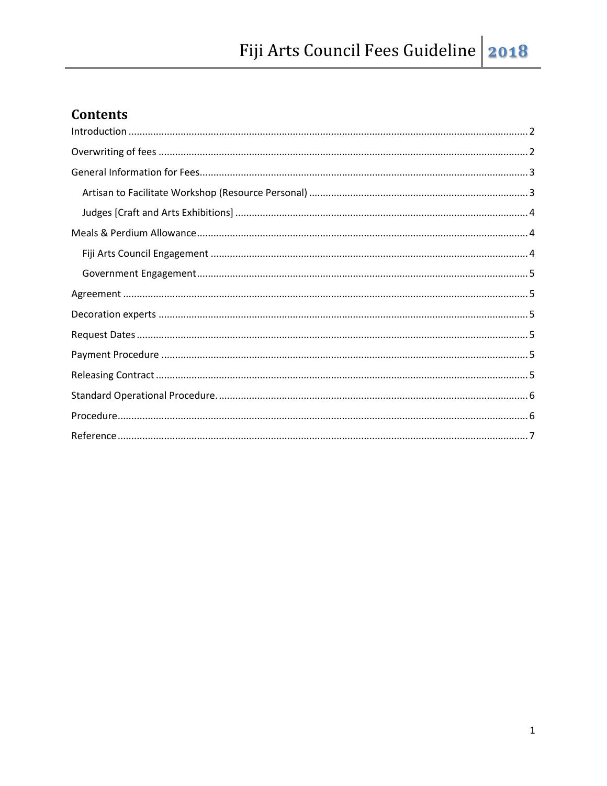# **Contents**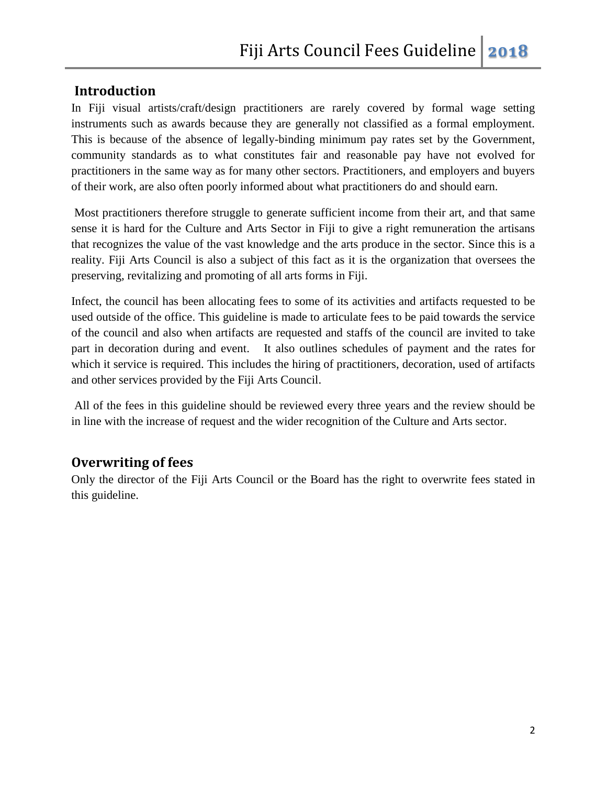#### <span id="page-1-0"></span>**Introduction**

In Fiji visual artists/craft/design practitioners are rarely covered by formal wage setting instruments such as awards because they are generally not classified as a formal employment. This is because of the absence of legally-binding minimum pay rates set by the Government, community standards as to what constitutes fair and reasonable pay have not evolved for practitioners in the same way as for many other sectors. Practitioners, and employers and buyers of their work, are also often poorly informed about what practitioners do and should earn.

Most practitioners therefore struggle to generate sufficient income from their art, and that same sense it is hard for the Culture and Arts Sector in Fiji to give a right remuneration the artisans that recognizes the value of the vast knowledge and the arts produce in the sector. Since this is a reality. Fiji Arts Council is also a subject of this fact as it is the organization that oversees the preserving, revitalizing and promoting of all arts forms in Fiji.

Infect, the council has been allocating fees to some of its activities and artifacts requested to be used outside of the office. This guideline is made to articulate fees to be paid towards the service of the council and also when artifacts are requested and staffs of the council are invited to take part in decoration during and event. It also outlines schedules of payment and the rates for which it service is required. This includes the hiring of practitioners, decoration, used of artifacts and other services provided by the Fiji Arts Council.

All of the fees in this guideline should be reviewed every three years and the review should be in line with the increase of request and the wider recognition of the Culture and Arts sector.

# <span id="page-1-1"></span>**Overwriting of fees**

Only the director of the Fiji Arts Council or the Board has the right to overwrite fees stated in this guideline.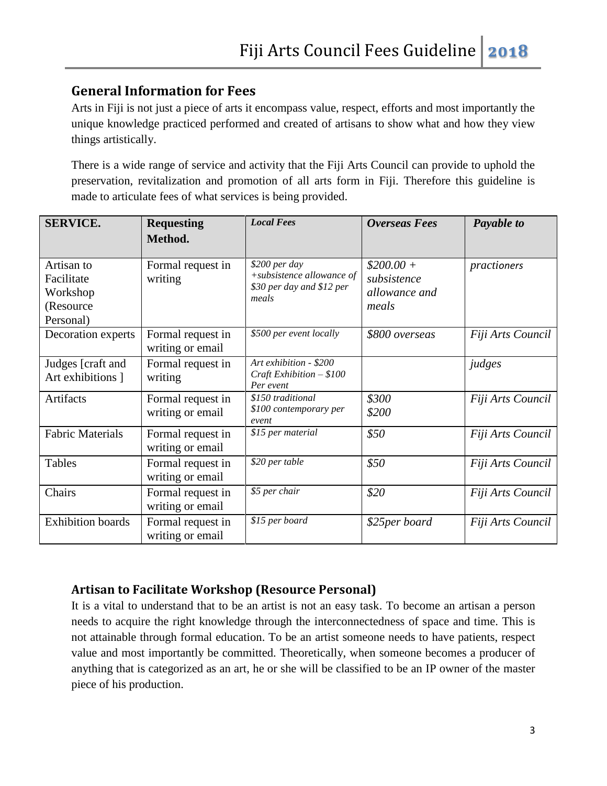# <span id="page-2-0"></span>**General Information for Fees**

Arts in Fiji is not just a piece of arts it encompass value, respect, efforts and most importantly the unique knowledge practiced performed and created of artisans to show what and how they view things artistically.

There is a wide range of service and activity that the Fiji Arts Council can provide to uphold the preservation, revitalization and promotion of all arts form in Fiji. Therefore this guideline is made to articulate fees of what services is being provided.

| <b>SERVICE.</b>                                                | <b>Requesting</b><br>Method.          | <b>Local Fees</b>                                                                | <b>Overseas Fees</b>                                | Payable to        |
|----------------------------------------------------------------|---------------------------------------|----------------------------------------------------------------------------------|-----------------------------------------------------|-------------------|
|                                                                |                                       |                                                                                  |                                                     |                   |
| Artisan to<br>Facilitate<br>Workshop<br>(Resource<br>Personal) | Formal request in<br>writing          | \$200 per day<br>+subsistence allowance of<br>\$30 per day and \$12 per<br>meals | $$200.00+$<br>subsistence<br>allowance and<br>meals | practioners       |
| Decoration experts                                             | Formal request in<br>writing or email | \$500 per event locally                                                          | \$800 overseas                                      | Fiji Arts Council |
| Judges [craft and<br>Art exhibitions ]                         | Formal request in<br>writing          | Art exhibition - \$200<br>Craft Exhibition $- $100$<br>Per event                 |                                                     | judges            |
| Artifacts                                                      | Formal request in<br>writing or email | \$150 traditional<br>\$100 contemporary per<br>event                             | \$300<br>\$200                                      | Fiji Arts Council |
| <b>Fabric Materials</b>                                        | Formal request in<br>writing or email | \$15 per material                                                                | \$50                                                | Fiji Arts Council |
| Tables                                                         | Formal request in<br>writing or email | \$20 per table                                                                   | \$50                                                | Fiji Arts Council |
| Chairs                                                         | Formal request in<br>writing or email | \$5 per chair                                                                    | \$20                                                | Fiji Arts Council |
| <b>Exhibition</b> boards                                       | Formal request in<br>writing or email | \$15 per board                                                                   | \$25per board                                       | Fiji Arts Council |

# <span id="page-2-1"></span>**Artisan to Facilitate Workshop (Resource Personal)**

It is a vital to understand that to be an artist is not an easy task. To become an artisan a person needs to acquire the right knowledge through the interconnectedness of space and time. This is not attainable through formal education. To be an artist someone needs to have patients, respect value and most importantly be committed. Theoretically, when someone becomes a producer of anything that is categorized as an art, he or she will be classified to be an IP owner of the master piece of his production.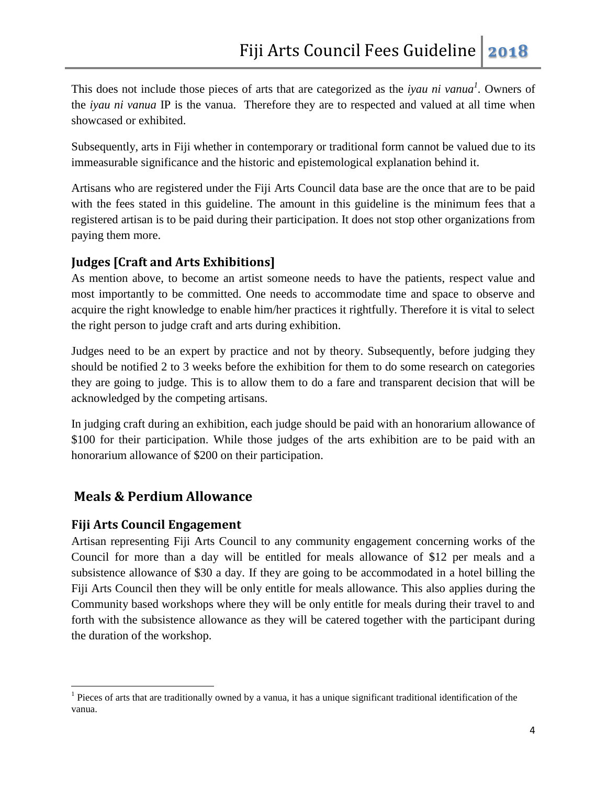This does not include those pieces of arts that are categorized as the *iyau ni vanua*<sup>1</sup>. Owners of the *iyau ni vanua* IP is the vanua. Therefore they are to respected and valued at all time when showcased or exhibited.

Subsequently, arts in Fiji whether in contemporary or traditional form cannot be valued due to its immeasurable significance and the historic and epistemological explanation behind it.

Artisans who are registered under the Fiji Arts Council data base are the once that are to be paid with the fees stated in this guideline. The amount in this guideline is the minimum fees that a registered artisan is to be paid during their participation. It does not stop other organizations from paying them more.

# <span id="page-3-0"></span>**Judges [Craft and Arts Exhibitions]**

As mention above, to become an artist someone needs to have the patients, respect value and most importantly to be committed. One needs to accommodate time and space to observe and acquire the right knowledge to enable him/her practices it rightfully. Therefore it is vital to select the right person to judge craft and arts during exhibition.

Judges need to be an expert by practice and not by theory. Subsequently, before judging they should be notified 2 to 3 weeks before the exhibition for them to do some research on categories they are going to judge. This is to allow them to do a fare and transparent decision that will be acknowledged by the competing artisans.

In judging craft during an exhibition, each judge should be paid with an honorarium allowance of \$100 for their participation. While those judges of the arts exhibition are to be paid with an honorarium allowance of \$200 on their participation.

# <span id="page-3-1"></span>**Meals & Perdium Allowance**

# <span id="page-3-2"></span>**Fiji Arts Council Engagement**

 $\overline{\phantom{a}}$ 

Artisan representing Fiji Arts Council to any community engagement concerning works of the Council for more than a day will be entitled for meals allowance of \$12 per meals and a subsistence allowance of \$30 a day. If they are going to be accommodated in a hotel billing the Fiji Arts Council then they will be only entitle for meals allowance. This also applies during the Community based workshops where they will be only entitle for meals during their travel to and forth with the subsistence allowance as they will be catered together with the participant during the duration of the workshop.

 $<sup>1</sup>$  Pieces of arts that are traditionally owned by a vanua, it has a unique significant traditional identification of the</sup> vanua.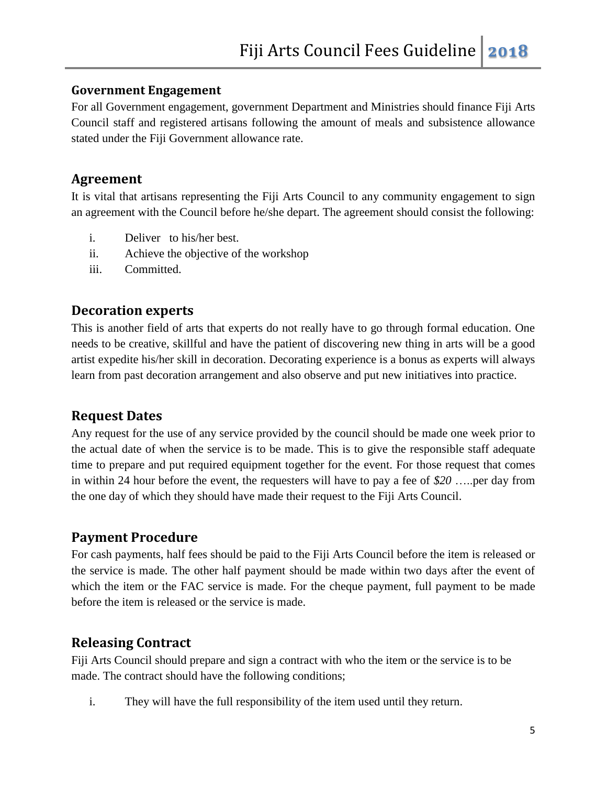#### <span id="page-4-0"></span>**Government Engagement**

For all Government engagement, government Department and Ministries should finance Fiji Arts Council staff and registered artisans following the amount of meals and subsistence allowance stated under the Fiji Government allowance rate.

#### <span id="page-4-1"></span>**Agreement**

It is vital that artisans representing the Fiji Arts Council to any community engagement to sign an agreement with the Council before he/she depart. The agreement should consist the following:

- i. Deliver to his/her best.
- ii. Achieve the objective of the workshop
- iii. Committed.

#### <span id="page-4-2"></span>**Decoration experts**

This is another field of arts that experts do not really have to go through formal education. One needs to be creative, skillful and have the patient of discovering new thing in arts will be a good artist expedite his/her skill in decoration. Decorating experience is a bonus as experts will always learn from past decoration arrangement and also observe and put new initiatives into practice.

# <span id="page-4-3"></span>**Request Dates**

Any request for the use of any service provided by the council should be made one week prior to the actual date of when the service is to be made. This is to give the responsible staff adequate time to prepare and put required equipment together for the event. For those request that comes in within 24 hour before the event, the requesters will have to pay a fee of *\$20* …..per day from the one day of which they should have made their request to the Fiji Arts Council.

#### <span id="page-4-4"></span>**Payment Procedure**

For cash payments, half fees should be paid to the Fiji Arts Council before the item is released or the service is made. The other half payment should be made within two days after the event of which the item or the FAC service is made. For the cheque payment, full payment to be made before the item is released or the service is made.

# <span id="page-4-5"></span>**Releasing Contract**

Fiji Arts Council should prepare and sign a contract with who the item or the service is to be made. The contract should have the following conditions;

i. They will have the full responsibility of the item used until they return.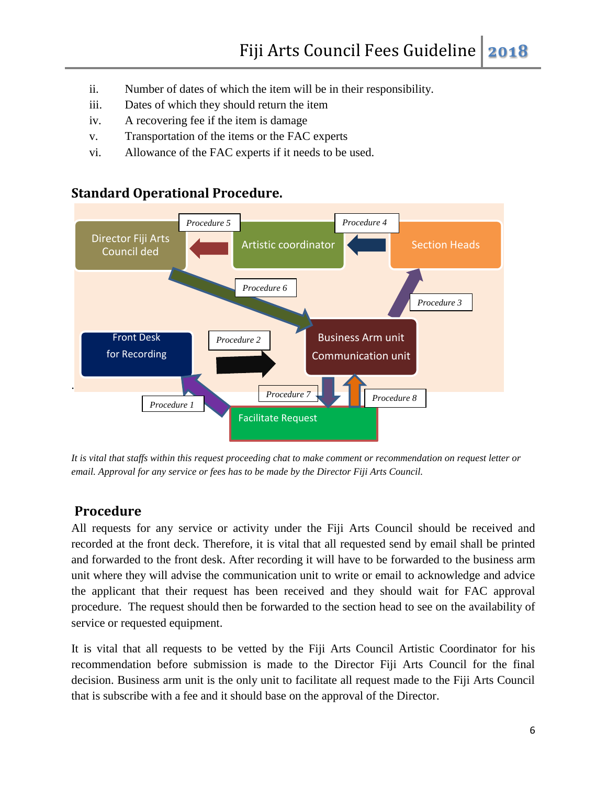- ii. Number of dates of which the item will be in their responsibility.
- iii. Dates of which they should return the item
- iv. A recovering fee if the item is damage
- v. Transportation of the items or the FAC experts
- vi. Allowance of the FAC experts if it needs to be used.

# . Director Fiji Arts Council ded **Council Artistic coordinator** Section Heads Business Arm unit Communication unit Front Desk for Recording Facilitate Request *Procedure 1 Procedure 2 Procedure 3* **Procedure 5** *Procedure 4 Procedure 6 Procedure 7 Procedure 8*

# <span id="page-5-0"></span>**Standard Operational Procedure.**

*It is vital that staffs within this request proceeding chat to make comment or recommendation on request letter or email. Approval for any service or fees has to be made by the Director Fiji Arts Council.* 

# <span id="page-5-1"></span>**Procedure**

All requests for any service or activity under the Fiji Arts Council should be received and recorded at the front deck. Therefore, it is vital that all requested send by email shall be printed and forwarded to the front desk. After recording it will have to be forwarded to the business arm unit where they will advise the communication unit to write or email to acknowledge and advice the applicant that their request has been received and they should wait for FAC approval procedure. The request should then be forwarded to the section head to see on the availability of service or requested equipment.

It is vital that all requests to be vetted by the Fiji Arts Council Artistic Coordinator for his recommendation before submission is made to the Director Fiji Arts Council for the final decision. Business arm unit is the only unit to facilitate all request made to the Fiji Arts Council that is subscribe with a fee and it should base on the approval of the Director.